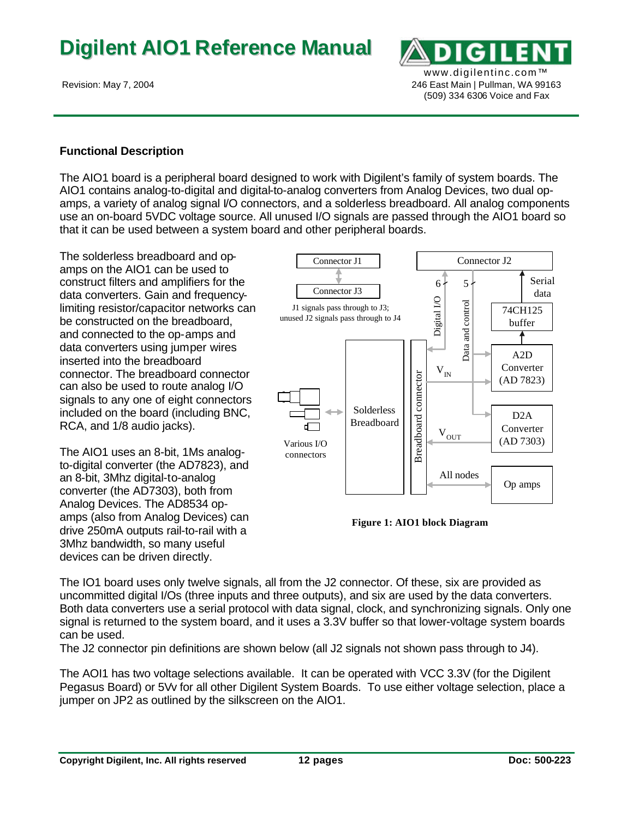

## **Functional Description**

The AIO1 board is a peripheral board designed to work with Digilent's family of system boards. The AIO1 contains analog-to-digital and digital-to-analog converters from Analog Devices, two dual opamps, a variety of analog signal I/O connectors, and a solderless breadboard. All analog components use an on-board 5VDC voltage source. All unused I/O signals are passed through the AIO1 board so that it can be used between a system board and other peripheral boards.

The solderless breadboard and opamps on the AIO1 can be used to construct filters and amplifiers for the data converters. Gain and frequencylimiting resistor/capacitor networks can be constructed on the breadboard, and connected to the op-amps and data converters using jumper wires inserted into the breadboard connector. The breadboard connector can also be used to route analog I/O signals to any one of eight connectors included on the board (including BNC, RCA, and 1/8 audio jacks).

The AIO1 uses an 8-bit, 1Ms analogto-digital converter (the AD7823), and an 8-bit, 3Mhz digital-to-analog converter (the AD7303), both from Analog Devices. The AD8534 opamps (also from Analog Devices) can drive 250mA outputs rail-to-rail with a 3Mhz bandwidth, so many useful devices can be driven directly.



**Figure 1: AIO1 block Diagram**

The IO1 board uses only twelve signals, all from the J2 connector. Of these, six are provided as uncommitted digital I/Os (three inputs and three outputs), and six are used by the data converters. Both data converters use a serial protocol with data signal, clock, and synchronizing signals. Only one signal is returned to the system board, and it uses a 3.3V buffer so that lower-voltage system boards can be used.

The J2 connector pin definitions are shown below (all J2 signals not shown pass through to J4).

The AOI1 has two voltage selections available. It can be operated with VCC 3.3V (for the Digilent Pegasus Board) or 5Vv for all other Digilent System Boards. To use either voltage selection, place a jumper on JP2 as outlined by the silkscreen on the AIO1.